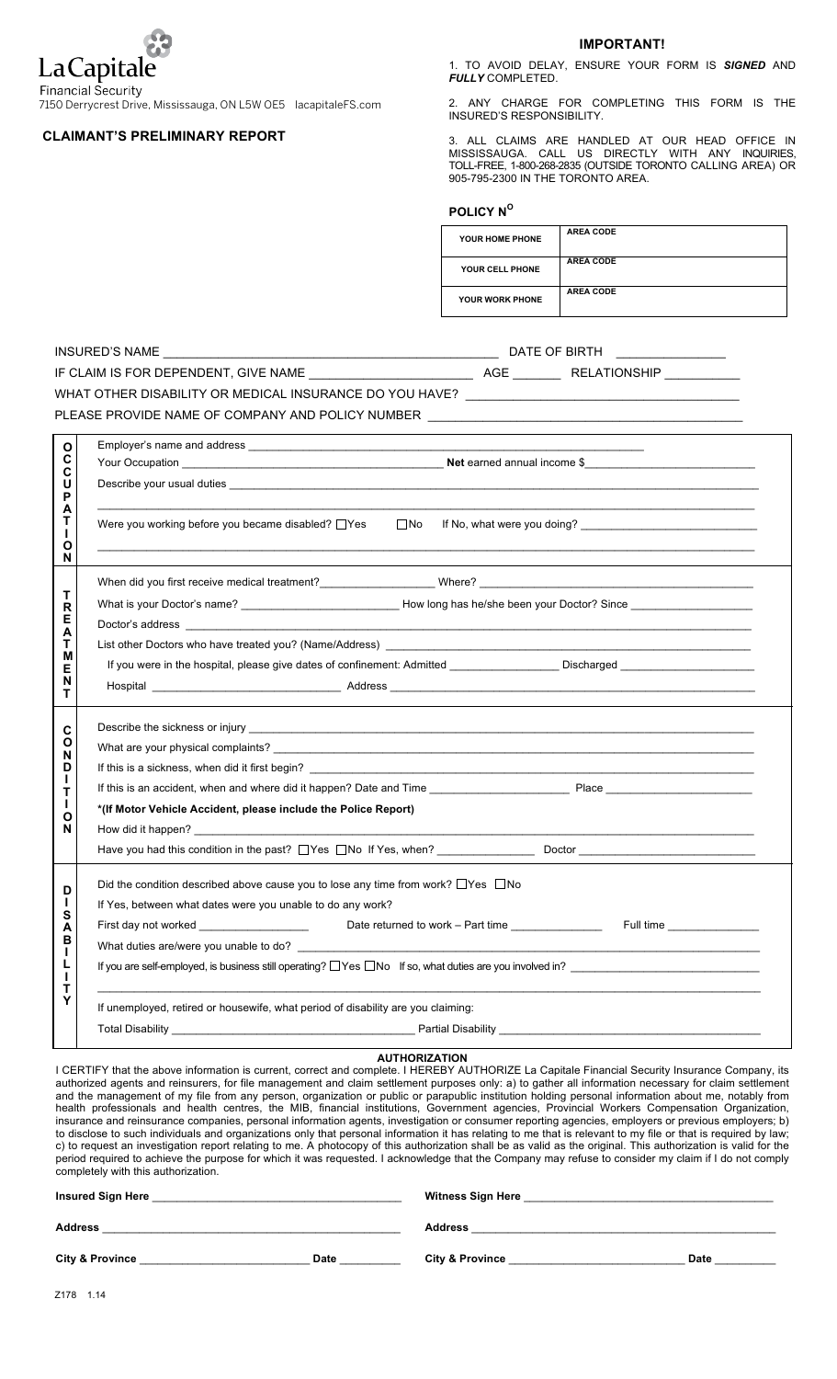

7150 Derrycrest Drive, Mississauga, ON L5W OE5 lacapitaleFS.com

## **CLAIMANT'S PRELIMINARY REPORT**

**IMPORTANT!**

1. TO AVOID DELAY, ENSURE YOUR FORM IS *SIGNED* AND *FULLY* COMPLETED.

2. ANY CHARGE FOR COMPLETING THIS FORM IS THE INSURED'S RESPONSIBILITY.

3. ALL CLAIMS ARE HANDLED AT OUR HEAD OFFICE IN MISSISSAUGA. CALL US DIRECTLY WITH ANY INQUIRIES, TOLL-FREE, 1-800-268-2835 (OUTSIDE TORONTO CALLING AREA) OR 905-795-2300 IN THE TORONTO AREA.

| <b>POLICY N°</b>       |                  |
|------------------------|------------------|
| YOUR HOME PHONE        | <b>AREA CODE</b> |
| YOUR CELL PHONE        | <b>AREA CODE</b> |
| <b>YOUR WORK PHONE</b> | <b>AREA CODE</b> |

**POLICY N<sup>O</sup>**

| DATE OF BIRTH <u>_____________</u> ____ |                                                                                                                                                                                                                                     |  |  |  |  |  |  |  |  |
|-----------------------------------------|-------------------------------------------------------------------------------------------------------------------------------------------------------------------------------------------------------------------------------------|--|--|--|--|--|--|--|--|
|                                         |                                                                                                                                                                                                                                     |  |  |  |  |  |  |  |  |
|                                         | WHAT OTHER DISABILITY OR MEDICAL INSURANCE DO YOU HAVE? _________________________                                                                                                                                                   |  |  |  |  |  |  |  |  |
|                                         | PLEASE PROVIDE NAME OF COMPANY AND POLICY NUMBER ________________________________                                                                                                                                                   |  |  |  |  |  |  |  |  |
| $\mathbf{o}$                            |                                                                                                                                                                                                                                     |  |  |  |  |  |  |  |  |
| Č                                       |                                                                                                                                                                                                                                     |  |  |  |  |  |  |  |  |
| C<br>U                                  |                                                                                                                                                                                                                                     |  |  |  |  |  |  |  |  |
| P<br>А                                  |                                                                                                                                                                                                                                     |  |  |  |  |  |  |  |  |
| т                                       | Were you working before you became disabled? $\Box$ Yes $\Box$ No If No, what were you doing?                                                                                                                                       |  |  |  |  |  |  |  |  |
| Ο                                       |                                                                                                                                                                                                                                     |  |  |  |  |  |  |  |  |
| N                                       |                                                                                                                                                                                                                                     |  |  |  |  |  |  |  |  |
| т                                       |                                                                                                                                                                                                                                     |  |  |  |  |  |  |  |  |
| R<br>Е                                  |                                                                                                                                                                                                                                     |  |  |  |  |  |  |  |  |
| А                                       |                                                                                                                                                                                                                                     |  |  |  |  |  |  |  |  |
| т<br>М                                  | List other Doctors who have treated you? (Name/Address)                                                                                                                                                                             |  |  |  |  |  |  |  |  |
| Е<br>N                                  | If you were in the hospital, please give dates of confinement: Admitted Source Discharged                                                                                                                                           |  |  |  |  |  |  |  |  |
| т                                       |                                                                                                                                                                                                                                     |  |  |  |  |  |  |  |  |
| C                                       |                                                                                                                                                                                                                                     |  |  |  |  |  |  |  |  |
| O                                       |                                                                                                                                                                                                                                     |  |  |  |  |  |  |  |  |
| N<br>D                                  |                                                                                                                                                                                                                                     |  |  |  |  |  |  |  |  |
| L<br>т                                  |                                                                                                                                                                                                                                     |  |  |  |  |  |  |  |  |
| L<br>Ο                                  | *(If Motor Vehicle Accident, please include the Police Report)                                                                                                                                                                      |  |  |  |  |  |  |  |  |
| N                                       | How did it happen? <b>Example 2</b> and the second contract of the second contract of the second contract of the second contract of the second contract of the second contract of the second contract of the second contract of the |  |  |  |  |  |  |  |  |
|                                         |                                                                                                                                                                                                                                     |  |  |  |  |  |  |  |  |
|                                         | Did the condition described above cause you to lose any time from work? $\Box$ Yes $\Box$ No                                                                                                                                        |  |  |  |  |  |  |  |  |
| D<br>L                                  | If Yes, between what dates were you unable to do any work?                                                                                                                                                                          |  |  |  |  |  |  |  |  |
| S<br>A                                  | First day not worked __________________________________Date returned to work - Part time _________________<br>Full time                                                                                                             |  |  |  |  |  |  |  |  |
| В                                       | What duties are/were you unable to do?                                                                                                                                                                                              |  |  |  |  |  |  |  |  |
| $\mathbf{I}$<br>L                       | If you are self-employed, is business still operating? $\Box$ Yes $\Box$ No If so, what duties are you involved in?                                                                                                                 |  |  |  |  |  |  |  |  |
| $\mathbf{I}$<br>т                       |                                                                                                                                                                                                                                     |  |  |  |  |  |  |  |  |
| Y                                       | If unemployed, retired or housewife, what period of disability are you claiming:                                                                                                                                                    |  |  |  |  |  |  |  |  |
|                                         |                                                                                                                                                                                                                                     |  |  |  |  |  |  |  |  |
|                                         |                                                                                                                                                                                                                                     |  |  |  |  |  |  |  |  |

**AUTHORIZATION**

I CERTIFY that the above information is current, correct and complete. I HEREBY AUTHORIZE La Capitale Financial Security Insurance Company, its authorized agents and reinsurers, for file management and claim settlement purposes only: a) to gather all information necessary for claim settlement and the management of my file from any person, organization or public or parapublic institution holding personal information about me, notably from health professionals and health centres, the MIB, financial institutions, Government agencies, Provincial Workers Compensation Organization, insurance and reinsurance companies, personal information agents, investigation or consumer reporting agencies, employers or previous employers; b) to disclose to such individuals and organizations only that personal information it has relating to me that is relevant to my file or that is required by law; c) to request an investigation report relating to me. A photocopy of this authorization shall be as valid as the original. This authorization is valid for the period required to achieve the purpose for which it was requested. I acknowledge that the Company may refuse to consider my claim if I do not comply completely with this authorization.

| <b>Insured Sign Here</b>   |             | <b>Witness Sign Here</b>   |      |  |
|----------------------------|-------------|----------------------------|------|--|
| Address                    |             | <b>Address</b>             |      |  |
| <b>City &amp; Province</b> | <b>Date</b> | <b>City &amp; Province</b> | Date |  |